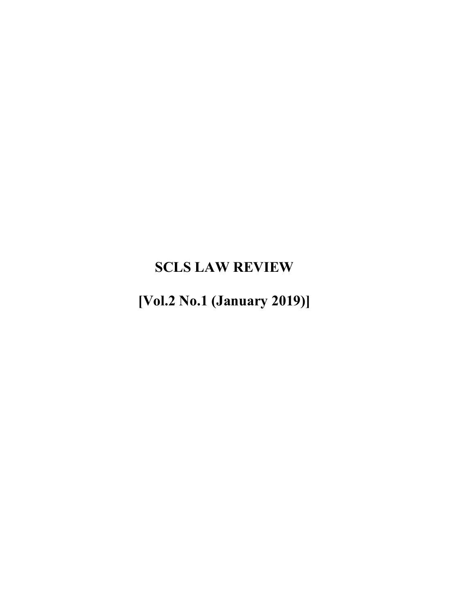# **SCLS LAW REVIEW**

**[Vol.2 No.1 (January 2019)]**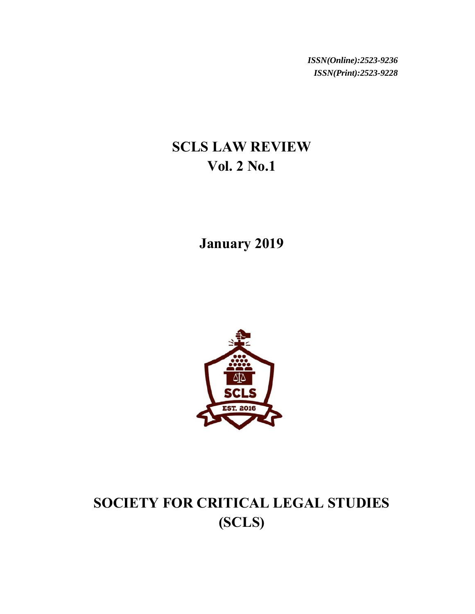*ISSN(Online):2523-9236 ISSN(Print):2523-9228*

# **SCLS LAW REVIEW Vol. 2 No.1**

**January 2019** 



# **SOCIETY FOR CRITICAL LEGAL STUDIES (SCLS)**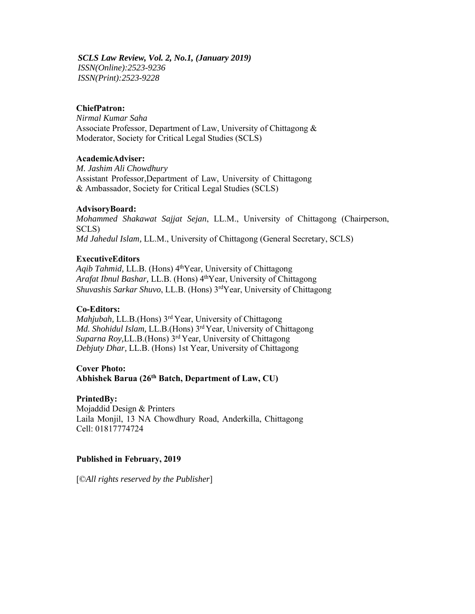*SCLS Law Review, Vol. 2, No.1, (January 2019) ISSN(Online):2523-9236 ISSN(Print):2523-9228*

#### **ChiefPatron:**

*Nirmal Kumar Saha* Associate Professor, Department of Law, University of Chittagong & Moderator, Society for Critical Legal Studies (SCLS)

### **AcademicAdviser:**

*M. Jashim Ali Chowdhury* Assistant Professor,Department of Law, University of Chittagong & Ambassador, Society for Critical Legal Studies (SCLS)

#### **AdvisoryBoard:**

*Mohammed Shakawat Sajjat Sejan*, LL.M., University of Chittagong (Chairperson, SCLS) *Md Jahedul Islam,* LL.M., University of Chittagong (General Secretary, SCLS)

#### **ExecutiveEditors**

Aqib Tahmid, LL.B. (Hons) 4<sup>th</sup>Year, University of Chittagong *Arafat Ibnul Bashar, LL.B.* (Hons) 4<sup>th</sup>Year, University of Chittagong *Shuvashis Sarkar Shuvo*, LL.B. (Hons) 3rdYear, University of Chittagong

#### **Co-Editors:**

*Mahjubah, LL.B.*(Hons) 3<sup>rd</sup> Year, University of Chittagong *Md. Shohidul Islam,* LL.B.(Hons) 3rd Year, University of Chittagong *Suparna Roy,*LL.B.(Hons) 3rd Year, University of Chittagong *Debjuty Dhar,* LL.B. (Hons) 1st Year, University of Chittagong

#### **Cover Photo:**

## **Abhishek Barua (26th Batch, Department of Law, CU)**

#### **PrintedBy:**

Mojaddid Design & Printers Laila Monjil, 13 NA Chowdhury Road, Anderkilla, Chittagong Cell: 01817774724

#### **Published in February, 2019**

[©*All rights reserved by the Publisher*]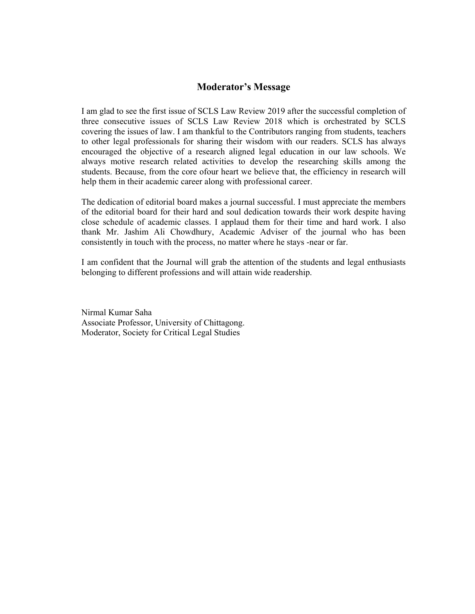### **Moderator's Message**

I am glad to see the first issue of SCLS Law Review 2019 after the successful completion of three consecutive issues of SCLS Law Review 2018 which is orchestrated by SCLS covering the issues of law. I am thankful to the Contributors ranging from students, teachers to other legal professionals for sharing their wisdom with our readers. SCLS has always encouraged the objective of a research aligned legal education in our law schools. We always motive research related activities to develop the researching skills among the students. Because, from the core ofour heart we believe that, the efficiency in research will help them in their academic career along with professional career.

The dedication of editorial board makes a journal successful. I must appreciate the members of the editorial board for their hard and soul dedication towards their work despite having close schedule of academic classes. I applaud them for their time and hard work. I also thank Mr. Jashim Ali Chowdhury, Academic Adviser of the journal who has been consistently in touch with the process, no matter where he stays -near or far.

I am confident that the Journal will grab the attention of the students and legal enthusiasts belonging to different professions and will attain wide readership.

Nirmal Kumar Saha Associate Professor, University of Chittagong. Moderator, Society for Critical Legal Studies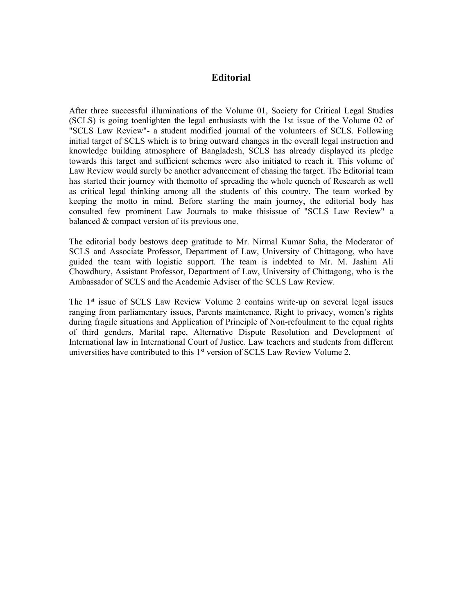### **Editorial**

After three successful illuminations of the Volume 01, Society for Critical Legal Studies (SCLS) is going toenlighten the legal enthusiasts with the 1st issue of the Volume 02 of "SCLS Law Review"- a student modified journal of the volunteers of SCLS. Following initial target of SCLS which is to bring outward changes in the overall legal instruction and knowledge building atmosphere of Bangladesh, SCLS has already displayed its pledge towards this target and sufficient schemes were also initiated to reach it. This volume of Law Review would surely be another advancement of chasing the target. The Editorial team has started their journey with themotto of spreading the whole quench of Research as well as critical legal thinking among all the students of this country. The team worked by keeping the motto in mind. Before starting the main journey, the editorial body has consulted few prominent Law Journals to make thisissue of "SCLS Law Review" a balanced & compact version of its previous one.

The editorial body bestows deep gratitude to Mr. Nirmal Kumar Saha, the Moderator of SCLS and Associate Professor, Department of Law, University of Chittagong, who have guided the team with logistic support. The team is indebted to Mr. M. Jashim Ali Chowdhury, Assistant Professor, Department of Law, University of Chittagong, who is the Ambassador of SCLS and the Academic Adviser of the SCLS Law Review.

The 1st issue of SCLS Law Review Volume 2 contains write-up on several legal issues ranging from parliamentary issues, Parents maintenance, Right to privacy, women's rights during fragile situations and Application of Principle of Non-refoulment to the equal rights of third genders, Marital rape, Alternative Dispute Resolution and Development of International law in International Court of Justice. Law teachers and students from different universities have contributed to this 1st version of SCLS Law Review Volume 2.